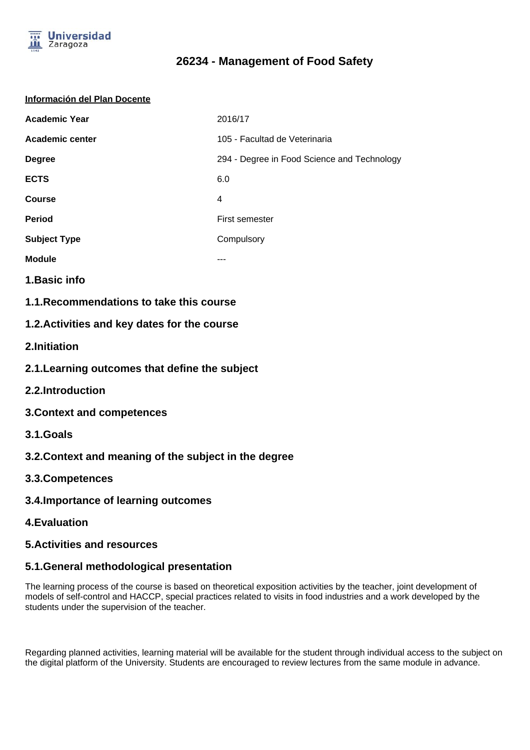

#### **Información del Plan Docente**

| <b>Academic Year</b>   | 2016/17                                     |
|------------------------|---------------------------------------------|
| <b>Academic center</b> | 105 - Facultad de Veterinaria               |
| <b>Degree</b>          | 294 - Degree in Food Science and Technology |
| <b>ECTS</b>            | 6.0                                         |
| <b>Course</b>          | 4                                           |
| <b>Period</b>          | First semester                              |
| <b>Subject Type</b>    | Compulsory                                  |
| <b>Module</b>          |                                             |

- **1.Basic info**
- **1.1.Recommendations to take this course**

### **1.2.Activities and key dates for the course**

- **2.Initiation**
- **2.1.Learning outcomes that define the subject**
- **2.2.Introduction**
- **3.Context and competences**
- **3.1.Goals**
- **3.2.Context and meaning of the subject in the degree**
- **3.3.Competences**
- **3.4.Importance of learning outcomes**
- **4.Evaluation**
- **5.Activities and resources**

#### **5.1.General methodological presentation**

The learning process of the course is based on theoretical exposition activities by the teacher, joint development of models of self-control and HACCP, special practices related to visits in food industries and a work developed by the students under the supervision of the teacher.

Regarding planned activities, learning material will be available for the student through individual access to the subject on the digital platform of the University. Students are encouraged to review lectures from the same module in advance.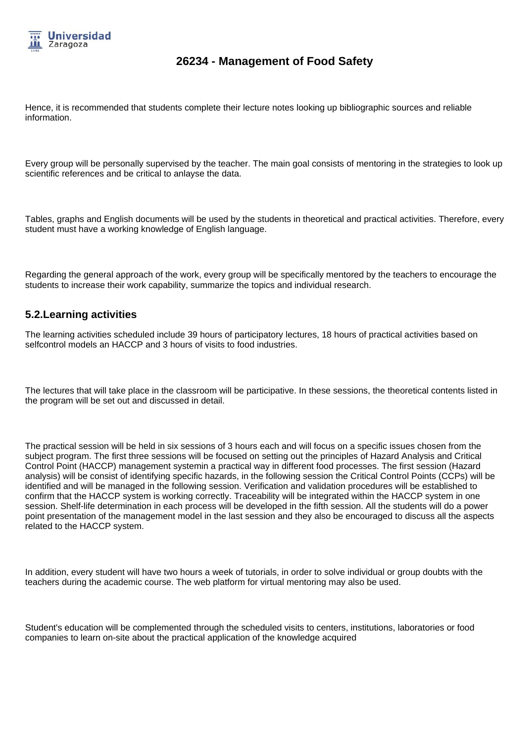

Hence, it is recommended that students complete their lecture notes looking up bibliographic sources and reliable information.

Every group will be personally supervised by the teacher. The main goal consists of mentoring in the strategies to look up scientific references and be critical to anlayse the data.

Tables, graphs and English documents will be used by the students in theoretical and practical activities. Therefore, every student must have a working knowledge of English language.

Regarding the general approach of the work, every group will be specifically mentored by the teachers to encourage the students to increase their work capability, summarize the topics and individual research.

#### **5.2.Learning activities**

The learning activities scheduled include 39 hours of participatory lectures, 18 hours of practical activities based on selfcontrol models an HACCP and 3 hours of visits to food industries.

The lectures that will take place in the classroom will be participative. In these sessions, the theoretical contents listed in the program will be set out and discussed in detail.

The practical session will be held in six sessions of 3 hours each and will focus on a specific issues chosen from the subject program. The first three sessions will be focused on setting out the principles of Hazard Analysis and Critical Control Point (HACCP) management systemin a practical way in different food processes. The first session (Hazard analysis) will be consist of identifying specific hazards, in the following session the Critical Control Points (CCPs) will be identified and will be managed in the following session. Verification and validation procedures will be established to confirm that the HACCP system is working correctly. Traceability will be integrated within the HACCP system in one session. Shelf-life determination in each process will be developed in the fifth session. All the students will do a power point presentation of the management model in the last session and they also be encouraged to discuss all the aspects related to the HACCP system.

In addition, every student will have two hours a week of tutorials, in order to solve individual or group doubts with the teachers during the academic course. The web platform for virtual mentoring may also be used.

Student's education will be complemented through the scheduled visits to centers, institutions, laboratories or food companies to learn on-site about the practical application of the knowledge acquired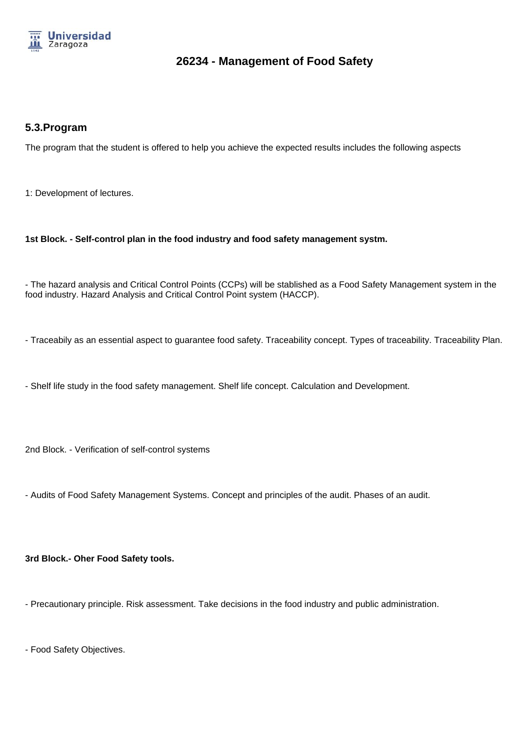

### **5.3.Program**

The program that the student is offered to help you achieve the expected results includes the following aspects

1: Development of lectures.

**1st Block. - Self-control plan in the food industry and food safety management systm.**

- The hazard analysis and Critical Control Points (CCPs) will be stablished as a Food Safety Management system in the food industry. Hazard Analysis and Critical Control Point system (HACCP).

- Traceabily as an essential aspect to guarantee food safety. Traceability concept. Types of traceability. Traceability Plan.

- Shelf life study in the food safety management. Shelf life concept. Calculation and Development.

2nd Block. - Verification of self-control systems

- Audits of Food Safety Management Systems. Concept and principles of the audit. Phases of an audit.

**3rd Block.- Oher Food Safety tools.**

- Precautionary principle. Risk assessment. Take decisions in the food industry and public administration.

- Food Safety Objectives.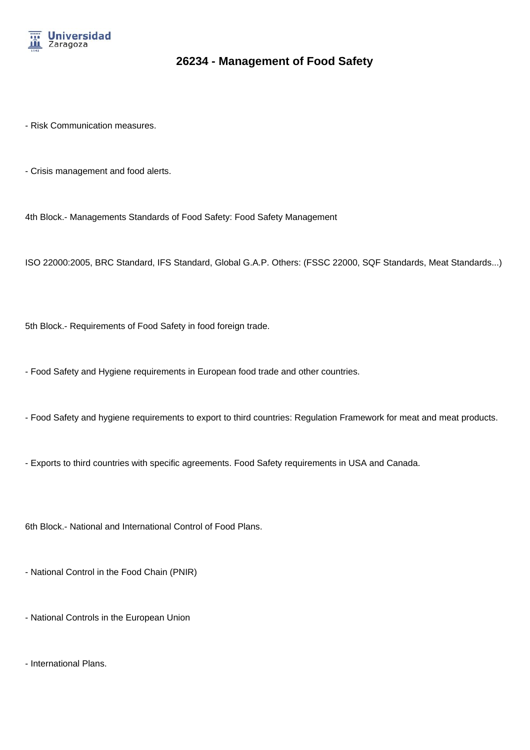

- Risk Communication measures.

- Crisis management and food alerts.

4th Block.- Managements Standards of Food Safety: Food Safety Management

ISO 22000:2005, BRC Standard, IFS Standard, Global G.A.P. Others: (FSSC 22000, SQF Standards, Meat Standards...)

5th Block.- Requirements of Food Safety in food foreign trade.

- Food Safety and Hygiene requirements in European food trade and other countries.

- Food Safety and hygiene requirements to export to third countries: Regulation Framework for meat and meat products.

- Exports to third countries with specific agreements. Food Safety requirements in USA and Canada.

6th Block.- National and International Control of Food Plans.

- National Control in the Food Chain (PNIR)

- National Controls in the European Union

- International Plans.